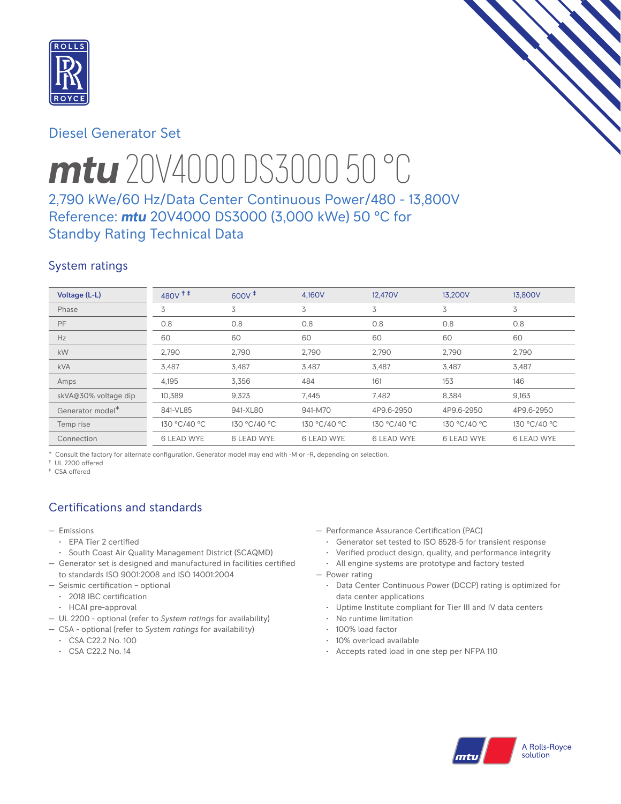

# Diesel Generator Set

# *mtu* 20V4000 DS3000 50 °C

# 2,790 kWe/60 Hz/Data Center Continuous Power/480 - 13,800V Reference: *mtu* 20V4000 DS3000 (3,000 kWe) 50 °C for Standby Rating Technical Data

## System ratings

| Voltage (L-L)        | 480V <sup>++</sup> | $600V^+$          | 4.160V            | 12.470V           | 13.200V           | 13,800V           |
|----------------------|--------------------|-------------------|-------------------|-------------------|-------------------|-------------------|
| Phase                | 3                  | 3                 | 3                 | 3                 | 3                 | 3                 |
| PF                   | 0.8                | 0.8               | 0.8               | 0.8               | 0.8               | 0.8               |
| Hz                   | 60                 | 60                | 60                | 60                | 60                | 60                |
| kW                   | 2,790              | 2,790             | 2,790             | 2,790             | 2,790             | 2,790             |
| <b>kVA</b>           | 3,487              | 3,487             | 3,487             | 3,487             | 3,487             | 3,487             |
| Amps                 | 4,195              | 3,356             | 484               | 161               | 153               | 146               |
| skVA@30% voltage dip | 10,389             | 9,323             | 7,445             | 7,482             | 8,384             | 9,163             |
| Generator model*     | 841-VL85           | 941-XL80          | 941-M70           | 4P9.6-2950        | 4P9.6-2950        | 4P9.6-2950        |
| Temp rise            | 130 °C/40 °C       | 130 °C/40 °C      | 130 °C/40 °C      | 130 °C/40 °C      | 130 °C/40 °C      | 130 °C/40 °C      |
| Connection           | <b>6 LEAD WYE</b>  | <b>6 LEAD WYE</b> | <b>6 LEAD WYE</b> | <b>6 LEAD WYE</b> | <b>6 LEAD WYE</b> | <b>6 LEAD WYE</b> |

\* Consult the factory for alternate configuration. Generator model may end with -M or -R, depending on selection.

† UL 2200 offered

‡ CSA offered

# Certifications and standards

- Emissions
	- EPA Tier 2 certified
- South Coast Air Quality Management District (SCAQMD)
- Generator set is designed and manufactured in facilities certified to standards ISO 9001:2008 and ISO 14001:2004
- Seismic certification optional
- 2018 IBC certification
- HCAI pre-approval
- UL 2200 optional (refer to *System ratings* for availability)
- CSA optional (refer to *System ratings* for availability)
	- CSA C22.2 No. 100
	- CSA C22.2 No. 14
- Performance Assurance Certification (PAC)
	- Generator set tested to ISO 8528-5 for transient response
	- Verified product design, quality, and performance integrity
	- All engine systems are prototype and factory tested
- Power rating
	- Data Center Continuous Power (DCCP) rating is optimized for data center applications
	- Uptime Institute compliant for Tier III and IV data centers
	- No runtime limitation
	- 100% load factor
	- 10% overload available
	- Accepts rated load in one step per NFPA 110

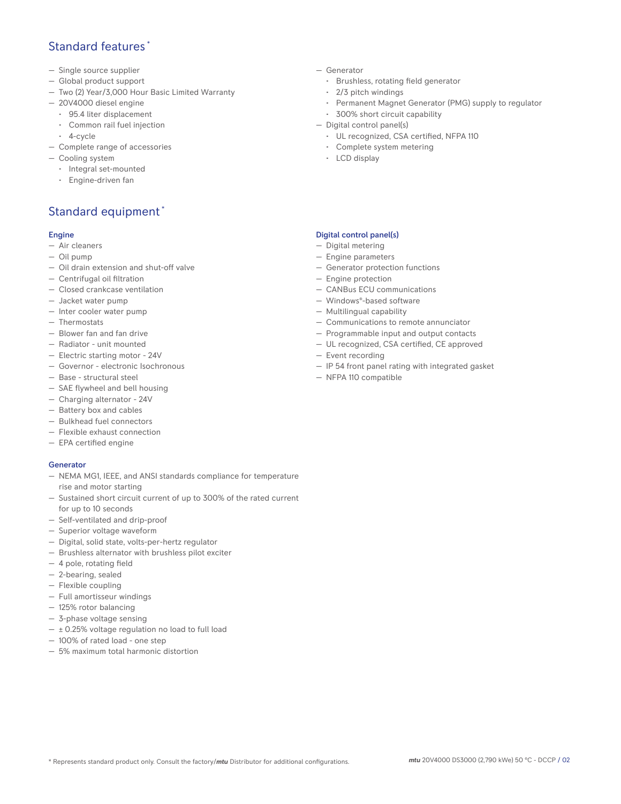## Standard features \*

- Single source supplier
- Global product support
- Two (2) Year/3,000 Hour Basic Limited Warranty
- 20V4000 diesel engine
	- 95.4 liter displacement
	- Common rail fuel injection
- 4-cycle
- Complete range of accessories
- Cooling system
	- Integral set-mounted
	- Engine-driven fan

# Standard equipment \*

#### Engine

- Air cleaners
- Oil pump
- Oil drain extension and shut-off valve
- Centrifugal oil filtration
- Closed crankcase ventilation
- Jacket water pump
- Inter cooler water pump
- Thermostats
- Blower fan and fan drive
- Radiator unit mounted
- Electric starting motor 24V
- Governor electronic Isochronous
- Base structural steel
- SAE flywheel and bell housing
- Charging alternator 24V
- Battery box and cables
- Bulkhead fuel connectors
- Flexible exhaust connection
- EPA certified engine

## **Generator**

- NEMA MG1, IEEE, and ANSI standards compliance for temperature rise and motor starting
- Sustained short circuit current of up to 300% of the rated current for up to 10 seconds
- Self-ventilated and drip-proof
- Superior voltage waveform
- Digital, solid state, volts-per-hertz regulator
- Brushless alternator with brushless pilot exciter
- 4 pole, rotating field
- 2-bearing, sealed
- Flexible coupling
- Full amortisseur windings
- 125% rotor balancing
- 3-phase voltage sensing
- $\pm$  0.25% voltage regulation no load to full load
- 100% of rated load one step
- 5% maximum total harmonic distortion
- Generator
	- Brushless, rotating field generator
	- 2/3 pitch windings
	- Permanent Magnet Generator (PMG) supply to regulator
- 300% short circuit capability
- Digital control panel(s)
	- UL recognized, CSA certified, NFPA 110
	- Complete system metering
	- LCD display

### Digital control panel(s)

- Digital metering
- Engine parameters
- Generator protection functions
- Engine protection
- CANBus ECU communications
- Windows®-based software
- Multilingual capability
- Communications to remote annunciator
- Programmable input and output contacts
- UL recognized, CSA certified, CE approved
- Event recording
- IP 54 front panel rating with integrated gasket
- NFPA 110 compatible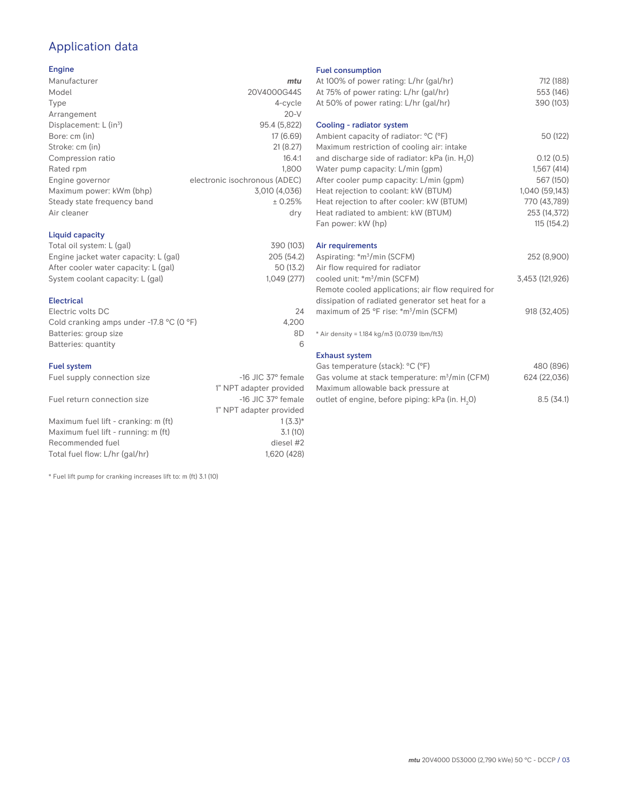# Application data

### Engine

| Manufacturer                         | mtu                           |
|--------------------------------------|-------------------------------|
| Model                                | 20V4000G44S                   |
| Type                                 | 4-cycle                       |
| Arrangement                          | $20-V$                        |
| Displacement: $L$ (in <sup>3</sup> ) | 95.4 (5,822)                  |
| Bore: cm (in)                        | 17 (6.69)                     |
| Stroke: cm (in)                      | 21(8.27)                      |
| Compression ratio                    | 16.4:1                        |
| Rated rpm                            | 1.800                         |
| Engine governor                      | electronic isochronous (ADEC) |
| Maximum power: kWm (bhp)             | 3,010 (4,036)                 |
| Steady state frequency band          | ± 0.25%                       |
| Air cleaner                          | dry                           |
|                                      |                               |

## Liquid capacity

| Total oil system: L (gal)             | 390 (103)  |
|---------------------------------------|------------|
| Engine jacket water capacity: L (gal) | 205 (54.2) |
| After cooler water capacity: L (gal)  | 50 (13.2)  |
| System coolant capacity: L (gal)      | 1.049(277) |
|                                       |            |

### Electrical

| 24    |
|-------|
| 4.200 |
| 8D    |
|       |
|       |

#### Fuel system

| Fuel supply connection size          | $-16$ JIC 37 $\degree$ female |
|--------------------------------------|-------------------------------|
|                                      | 1" NPT adapter provided       |
| Fuel return connection size          | $-16$ JIC 37 $\degree$ female |
|                                      | 1" NPT adapter provided       |
| Maximum fuel lift - cranking: m (ft) | $1(3.3)*$                     |
| Maximum fuel lift - running: m (ft)  | 3.1(10)                       |
| Recommended fuel                     | diesel #2                     |
| Total fuel flow: L/hr (gal/hr)       | 1.620 (428)                   |

\* Fuel lift pump for cranking increases lift to: m (ft) 3.1 (10)

#### Fuel consumption

| At 100% of power rating: L/hr (gal/hr)<br>At 75% of power rating: L/hr (gal/hr)               | 712 (188)<br>553 (146) |
|-----------------------------------------------------------------------------------------------|------------------------|
| At 50% of power rating: L/hr (gal/hr)                                                         | 390 (103)              |
| Cooling - radiator system                                                                     |                        |
| Ambient capacity of radiator: °C (°F)<br>Maximum restriction of cooling air: intake           | 50 (122)               |
| and discharge side of radiator: kPa (in. H <sub>2</sub> 0)                                    | 0.12(0.5)              |
| Water pump capacity: L/min (gpm)                                                              | 1,567(414)             |
| After cooler pump capacity: L/min (gpm)                                                       | 567 (150)              |
| Heat rejection to coolant: kW (BTUM)                                                          | 1,040 (59,143)         |
| Heat rejection to after cooler: kW (BTUM)                                                     | 770 (43,789)           |
| Heat radiated to ambient: kW (BTUM)                                                           | 253 (14,372)           |
| Fan power: kW (hp)                                                                            | 115(154.2)             |
| Air requirements                                                                              |                        |
| Aspirating: *m <sup>3</sup> /min (SCFM)                                                       | 252 (8,900)            |
| Air flow required for radiator                                                                |                        |
| cooled unit: *m <sup>3</sup> /min (SCFM)<br>Remote cooled applications; air flow required for | 3,453 (121,926)        |
| dissipation of radiated generator set heat for a                                              |                        |
| maximum of 25 °F rise: *m <sup>3</sup> /min (SCFM)                                            | 918 (32,405)           |
| * Air density = 1.184 kg/m3 (0.0739 lbm/ft3)                                                  |                        |
| <b>Exhaust system</b>                                                                         |                        |
| Gas temperature (stack): °C (°F)                                                              | 480 (896)              |
| Gas volume at stack temperature: m <sup>3</sup> /min (CFM)                                    | 624 (22,036)           |

| Maximum allowable back pressure at             |           |
|------------------------------------------------|-----------|
| outlet of engine, before piping: kPa (in. H,0) | 8.5(34.1) |